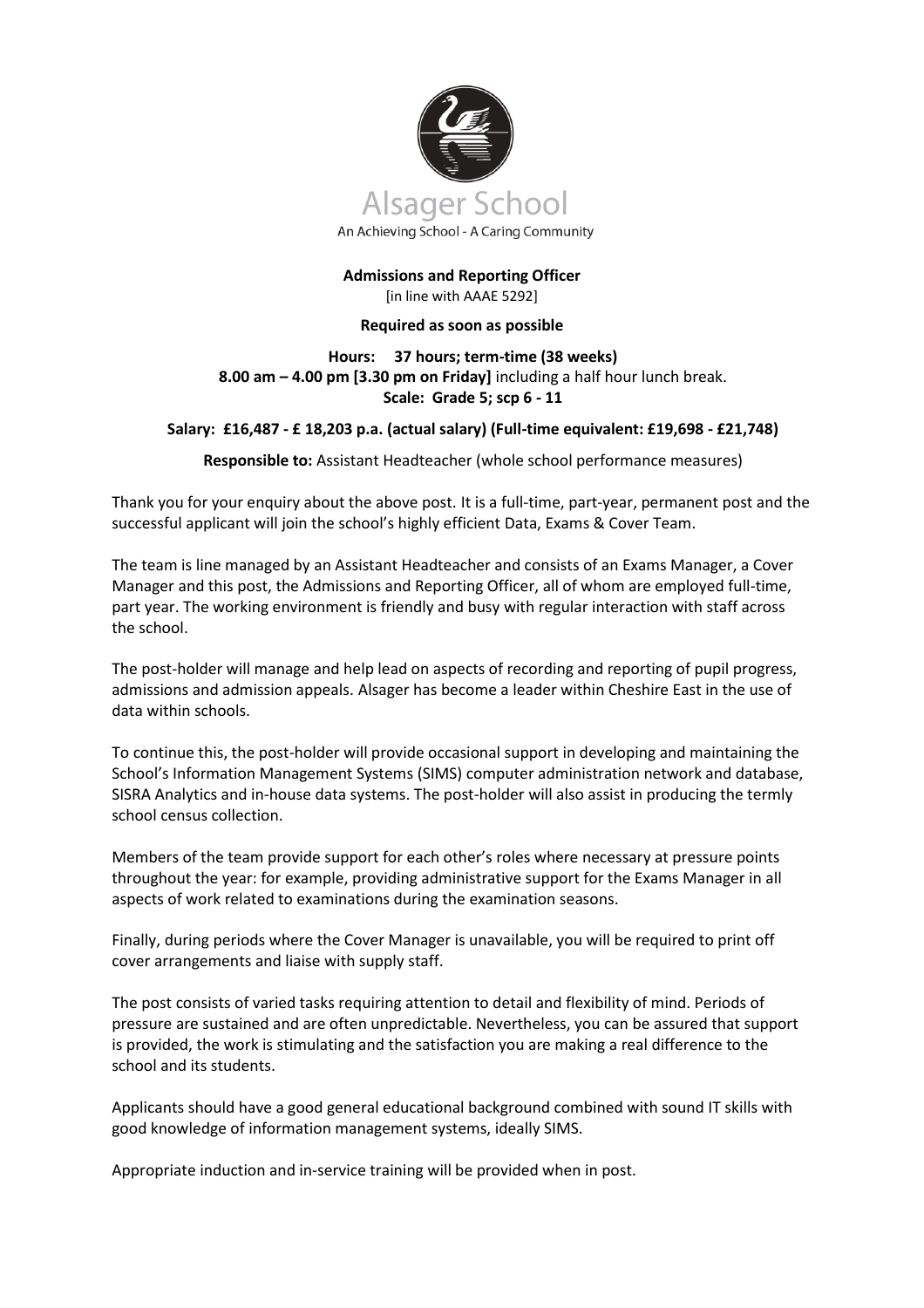

## **Admissions and Reporting Officer** [in line with AAAE 5292]

## **Required as soon as possible**

# **Hours: 37 hours; term-time (38 weeks) 8.00 am – 4.00 pm [3.30 pm on Friday]** including a half hour lunch break. **Scale: Grade 5; scp 6 - 11**

# **Salary: £16,487 - £ 18,203 p.a. (actual salary) (Full-time equivalent: £19,698 - £21,748)**

# **Responsible to:** Assistant Headteacher (whole school performance measures)

Thank you for your enquiry about the above post. It is a full-time, part-year, permanent post and the successful applicant will join the school's highly efficient Data, Exams & Cover Team.

The team is line managed by an Assistant Headteacher and consists of an Exams Manager, a Cover Manager and this post, the Admissions and Reporting Officer, all of whom are employed full-time, part year. The working environment is friendly and busy with regular interaction with staff across the school.

The post-holder will manage and help lead on aspects of recording and reporting of pupil progress, admissions and admission appeals. Alsager has become a leader within Cheshire East in the use of data within schools.

To continue this, the post-holder will provide occasional support in developing and maintaining the School's Information Management Systems (SIMS) computer administration network and database, SISRA Analytics and in-house data systems. The post-holder will also assist in producing the termly school census collection.

Members of the team provide support for each other's roles where necessary at pressure points throughout the year: for example, providing administrative support for the Exams Manager in all aspects of work related to examinations during the examination seasons.

Finally, during periods where the Cover Manager is unavailable, you will be required to print off cover arrangements and liaise with supply staff.

The post consists of varied tasks requiring attention to detail and flexibility of mind. Periods of pressure are sustained and are often unpredictable. Nevertheless, you can be assured that support is provided, the work is stimulating and the satisfaction you are making a real difference to the school and its students.

Applicants should have a good general educational background combined with sound IT skills with good knowledge of information management systems, ideally SIMS.

Appropriate induction and in-service training will be provided when in post.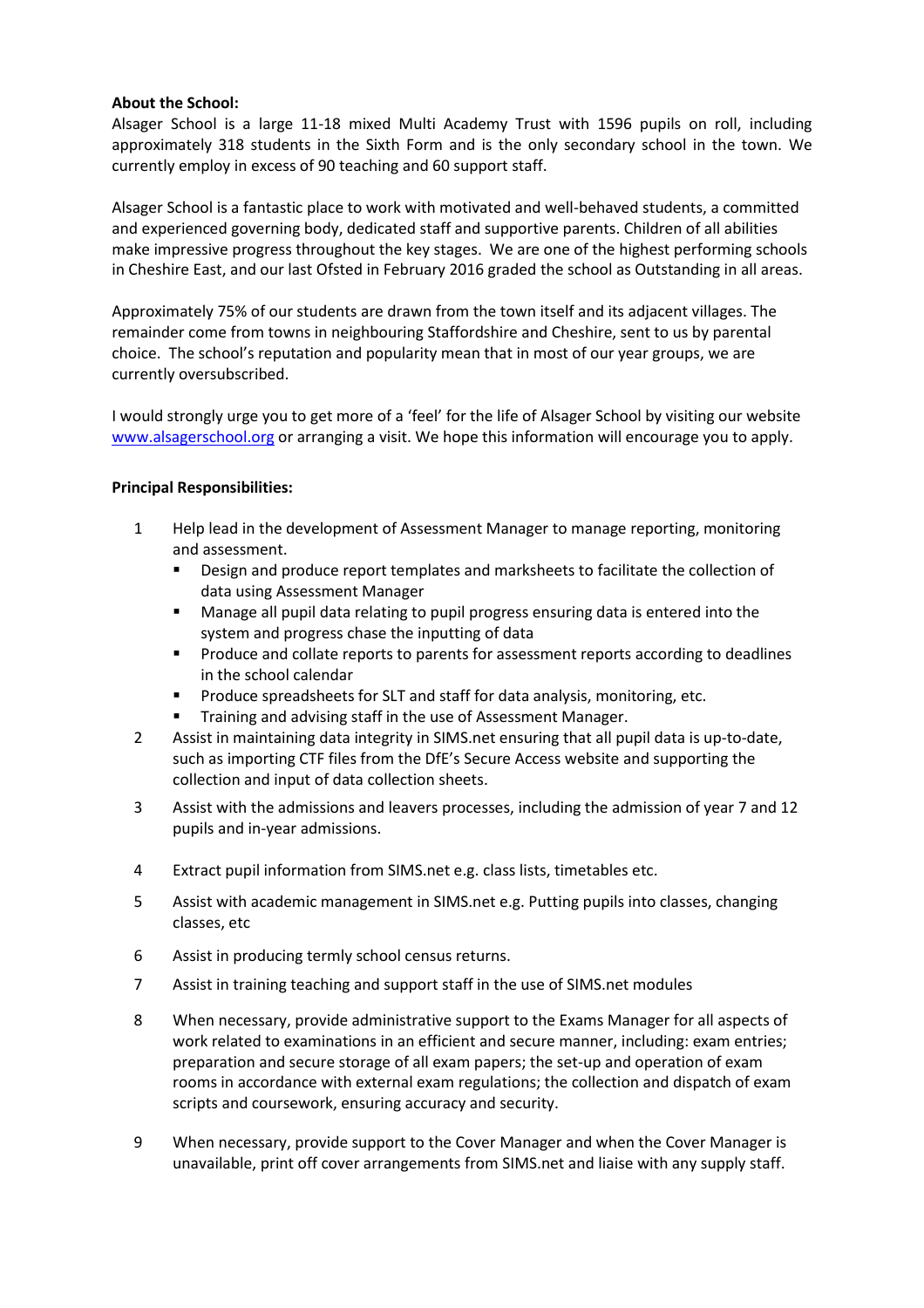## **About the School:**

Alsager School is a large 11-18 mixed Multi Academy Trust with 1596 pupils on roll, including approximately 318 students in the Sixth Form and is the only secondary school in the town. We currently employ in excess of 90 teaching and 60 support staff.

Alsager School is a fantastic place to work with motivated and well-behaved students, a committed and experienced governing body, dedicated staff and supportive parents. Children of all abilities make impressive progress throughout the key stages. We are one of the highest performing schools in Cheshire East, and our last Ofsted in February 2016 graded the school as Outstanding in all areas.

Approximately 75% of our students are drawn from the town itself and its adjacent villages. The remainder come from towns in neighbouring Staffordshire and Cheshire, sent to us by parental choice. The school's reputation and popularity mean that in most of our year groups, we are currently oversubscribed.

I would strongly urge you to get more of a 'feel' for the life of Alsager School by visiting our website [www.alsagerschool.org](http://www.alsagerschool.org/) or arranging a visit. We hope this information will encourage you to apply.

# **Principal Responsibilities:**

- 1 Help lead in the development of Assessment Manager to manage reporting, monitoring and assessment.
	- Design and produce report templates and marksheets to facilitate the collection of data using Assessment Manager
	- Manage all pupil data relating to pupil progress ensuring data is entered into the system and progress chase the inputting of data
	- Produce and collate reports to parents for assessment reports according to deadlines in the school calendar
	- Produce spreadsheets for SLT and staff for data analysis, monitoring, etc.
	- **■** Training and advising staff in the use of Assessment Manager.
- 2 Assist in maintaining data integrity in SIMS.net ensuring that all pupil data is up-to-date, such as importing CTF files from the DfE's Secure Access website and supporting the collection and input of data collection sheets.
- 3 Assist with the admissions and leavers processes, including the admission of year 7 and 12 pupils and in-year admissions.
- 4 Extract pupil information from SIMS.net e.g. class lists, timetables etc.
- 5 Assist with academic management in SIMS.net e.g. Putting pupils into classes, changing classes, etc
- 6 Assist in producing termly school census returns.
- 7 Assist in training teaching and support staff in the use of SIMS.net modules
- 8 When necessary, provide administrative support to the Exams Manager for all aspects of work related to examinations in an efficient and secure manner, including: exam entries; preparation and secure storage of all exam papers; the set-up and operation of exam rooms in accordance with external exam regulations; the collection and dispatch of exam scripts and coursework, ensuring accuracy and security.
- 9 When necessary, provide support to the Cover Manager and when the Cover Manager is unavailable, print off cover arrangements from SIMS.net and liaise with any supply staff.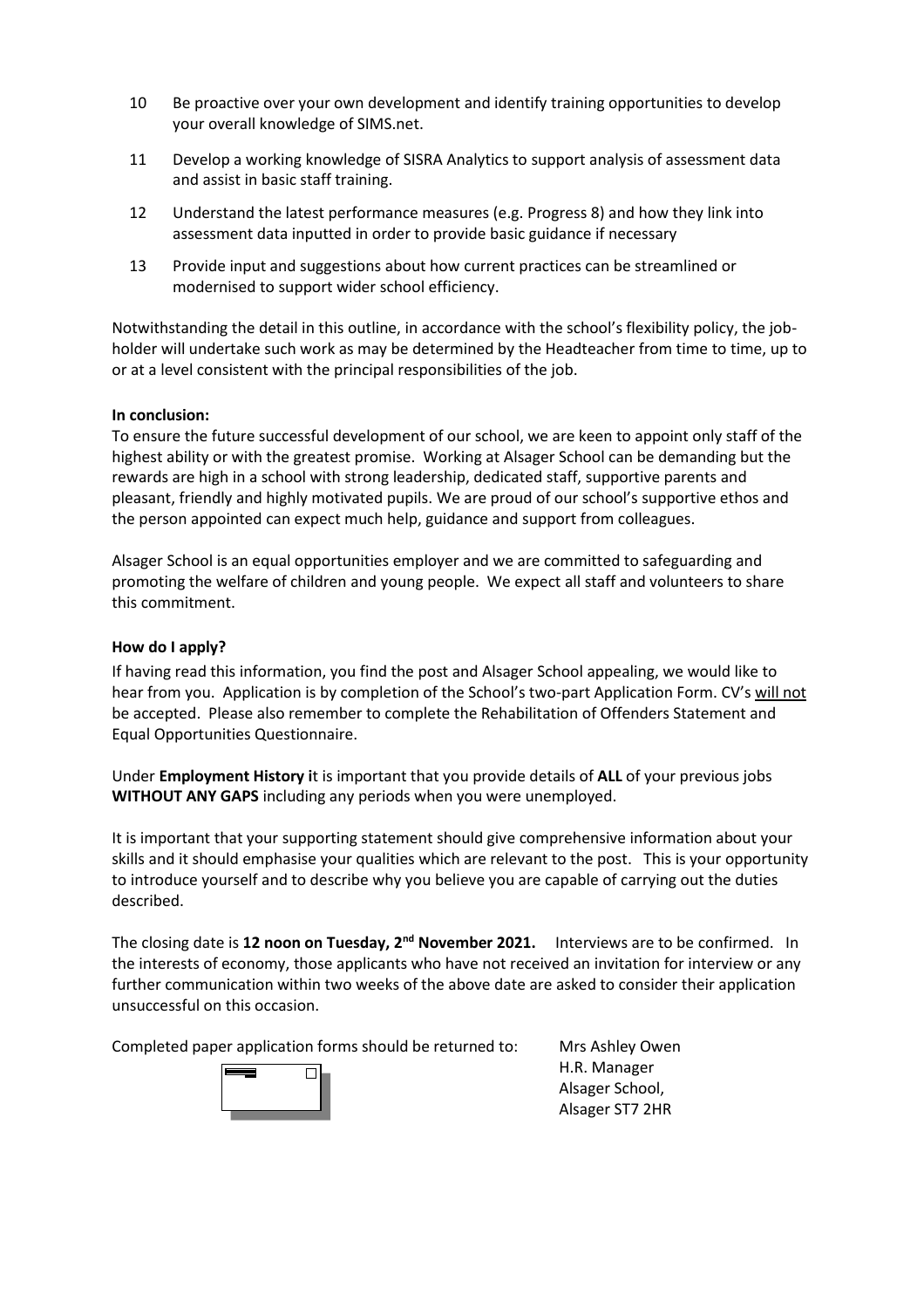- 10 Be proactive over your own development and identify training opportunities to develop your overall knowledge of SIMS.net.
- 11 Develop a working knowledge of SISRA Analytics to support analysis of assessment data and assist in basic staff training.
- 12 Understand the latest performance measures (e.g. Progress 8) and how they link into assessment data inputted in order to provide basic guidance if necessary
- 13 Provide input and suggestions about how current practices can be streamlined or modernised to support wider school efficiency.

Notwithstanding the detail in this outline, in accordance with the school's flexibility policy, the jobholder will undertake such work as may be determined by the Headteacher from time to time, up to or at a level consistent with the principal responsibilities of the job.

## **In conclusion:**

To ensure the future successful development of our school, we are keen to appoint only staff of the highest ability or with the greatest promise. Working at Alsager School can be demanding but the rewards are high in a school with strong leadership, dedicated staff, supportive parents and pleasant, friendly and highly motivated pupils. We are proud of our school's supportive ethos and the person appointed can expect much help, guidance and support from colleagues.

Alsager School is an equal opportunities employer and we are committed to safeguarding and promoting the welfare of children and young people. We expect all staff and volunteers to share this commitment.

### **How do I apply?**

If having read this information, you find the post and Alsager School appealing, we would like to hear from you. Application is by completion of the School's two-part Application Form. CV's will not be accepted. Please also remember to complete the Rehabilitation of Offenders Statement and Equal Opportunities Questionnaire.

Under **Employment History i**t is important that you provide details of **ALL** of your previous jobs **WITHOUT ANY GAPS** including any periods when you were unemployed.

It is important that your supporting statement should give comprehensive information about your skills and it should emphasise your qualities which are relevant to the post. This is your opportunity to introduce yourself and to describe why you believe you are capable of carrying out the duties described.

The closing date is **12 noon on Tuesday, 2nd November 2021.** Interviews are to be confirmed. In the interests of economy, those applicants who have not received an invitation for interview or any further communication within two weeks of the above date are asked to consider their application unsuccessful on this occasion.

Completed paper application forms should be returned to: Mrs Ashley Owen



H.R. Manager Alsager School, Alsager ST7 2HR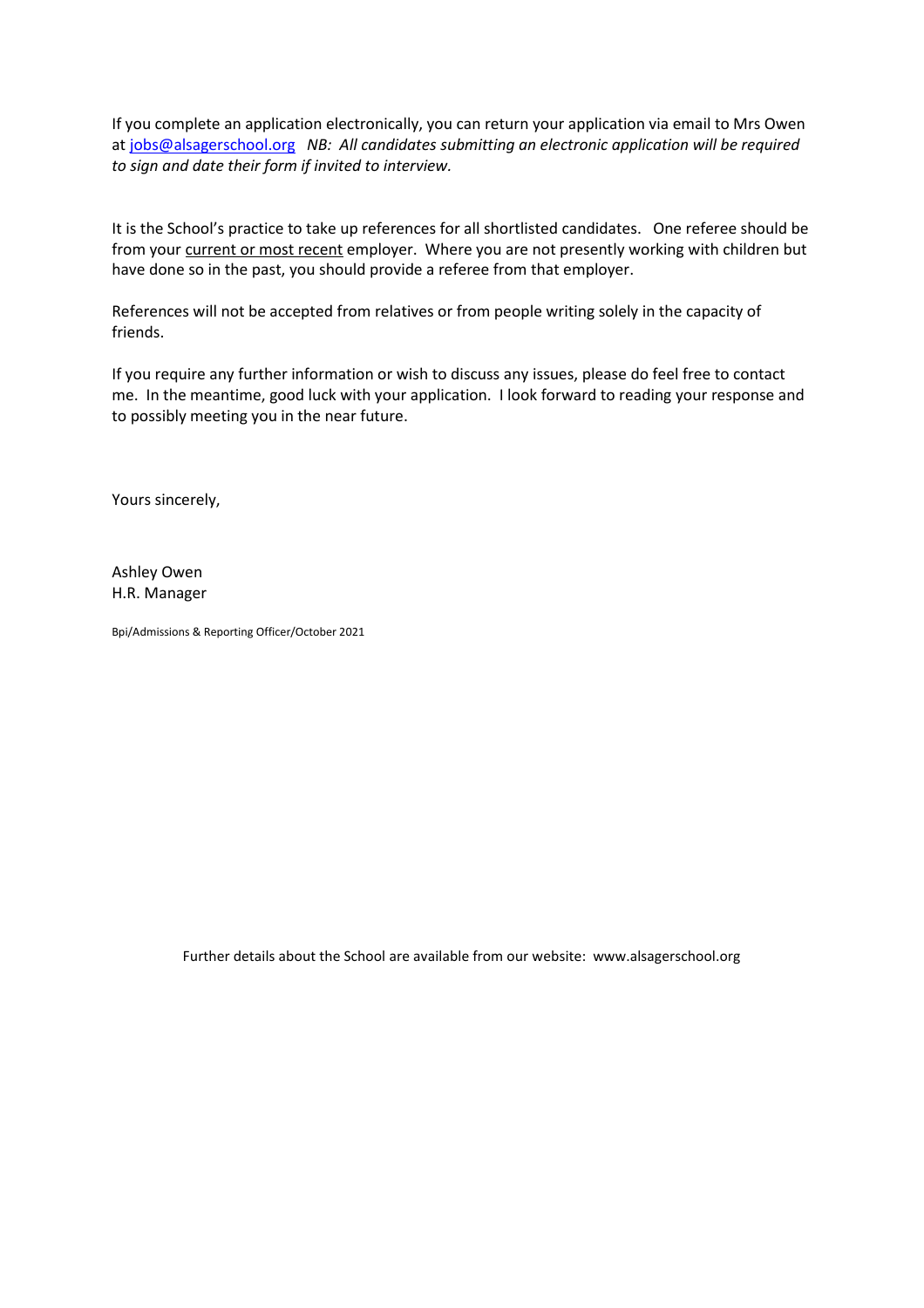If you complete an application electronically, you can return your application via email to Mrs Owen a[t jobs@alsagerschool.org](mailto:jobs@alsagerschool.org) *NB: All candidates submitting an electronic application will be required to sign and date their form if invited to interview.*

It is the School's practice to take up references for all shortlisted candidates. One referee should be from your current or most recent employer. Where you are not presently working with children but have done so in the past, you should provide a referee from that employer.

References will not be accepted from relatives or from people writing solely in the capacity of friends.

If you require any further information or wish to discuss any issues, please do feel free to contact me. In the meantime, good luck with your application. I look forward to reading your response and to possibly meeting you in the near future.

Yours sincerely,

Ashley Owen H.R. Manager

Bpi/Admissions & Reporting Officer/October 2021

Further details about the School are available from our website: www.alsagerschool.org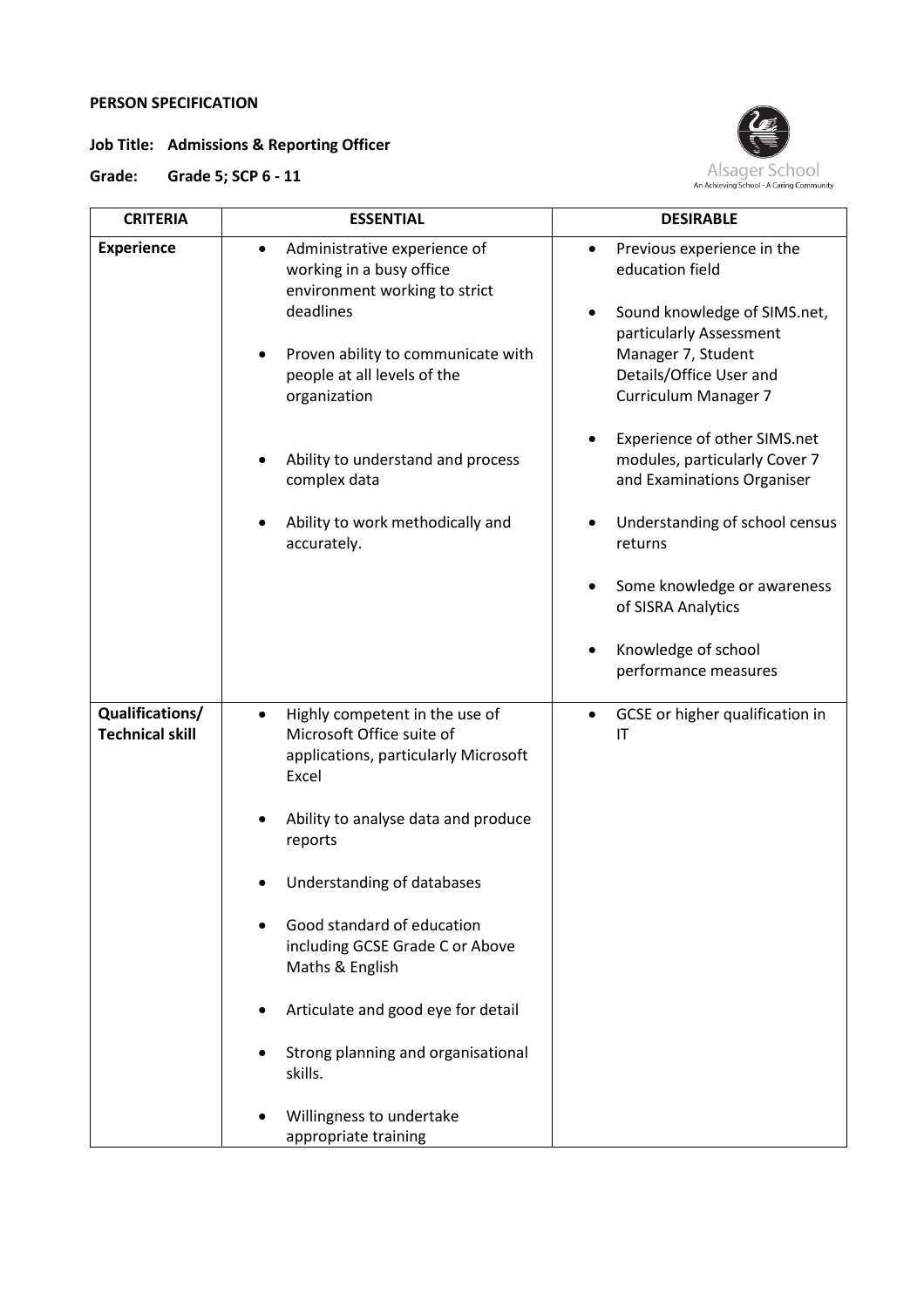# **PERSON SPECIFICATION**

**Job Title: Admissions & Reporting Officer**



**Grade: Grade 5; SCP 6 - 11**

| <b>CRITERIA</b>                           | <b>ESSENTIAL</b>                                                                                                                                                                            | <b>DESIRABLE</b>                                                                                                                                                                              |
|-------------------------------------------|---------------------------------------------------------------------------------------------------------------------------------------------------------------------------------------------|-----------------------------------------------------------------------------------------------------------------------------------------------------------------------------------------------|
| <b>Experience</b>                         | Administrative experience of<br>working in a busy office<br>environment working to strict<br>deadlines<br>Proven ability to communicate with<br>people at all levels of the<br>organization | Previous experience in the<br>education field<br>Sound knowledge of SIMS.net,<br>٠<br>particularly Assessment<br>Manager 7, Student<br>Details/Office User and<br><b>Curriculum Manager 7</b> |
|                                           | Ability to understand and process<br>complex data                                                                                                                                           | Experience of other SIMS.net<br>modules, particularly Cover 7<br>and Examinations Organiser                                                                                                   |
|                                           | Ability to work methodically and<br>accurately.                                                                                                                                             | Understanding of school census<br>returns                                                                                                                                                     |
|                                           |                                                                                                                                                                                             | Some knowledge or awareness<br>of SISRA Analytics                                                                                                                                             |
|                                           |                                                                                                                                                                                             | Knowledge of school<br>performance measures                                                                                                                                                   |
| Qualifications/<br><b>Technical skill</b> | Highly competent in the use of<br>$\bullet$<br>Microsoft Office suite of<br>applications, particularly Microsoft<br>Excel                                                                   | GCSE or higher qualification in<br>$\bullet$<br>IT                                                                                                                                            |
|                                           | Ability to analyse data and produce<br>reports                                                                                                                                              |                                                                                                                                                                                               |
|                                           | Understanding of databases                                                                                                                                                                  |                                                                                                                                                                                               |
|                                           | Good standard of education<br>including GCSE Grade C or Above<br>Maths & English                                                                                                            |                                                                                                                                                                                               |
|                                           | Articulate and good eye for detail                                                                                                                                                          |                                                                                                                                                                                               |
|                                           | Strong planning and organisational<br>skills.                                                                                                                                               |                                                                                                                                                                                               |
|                                           | Willingness to undertake<br>appropriate training                                                                                                                                            |                                                                                                                                                                                               |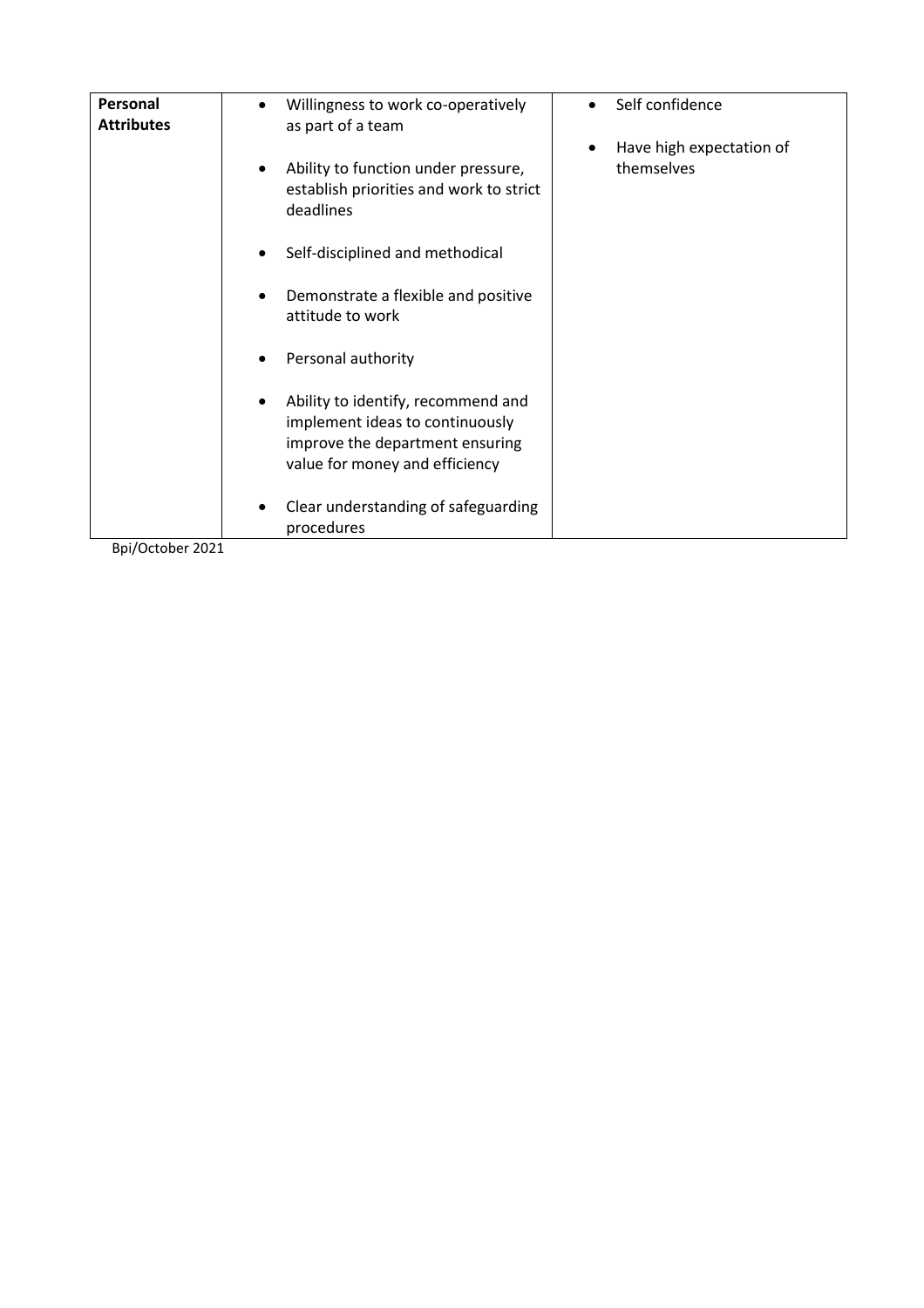| Personal<br><b>Attributes</b> | Willingness to work co-operatively<br>as part of a team                                                                                    | Self confidence          |
|-------------------------------|--------------------------------------------------------------------------------------------------------------------------------------------|--------------------------|
|                               |                                                                                                                                            | Have high expectation of |
|                               | Ability to function under pressure,<br>establish priorities and work to strict<br>deadlines                                                | themselves               |
|                               | Self-disciplined and methodical                                                                                                            |                          |
|                               | Demonstrate a flexible and positive<br>attitude to work                                                                                    |                          |
|                               | Personal authority                                                                                                                         |                          |
|                               | Ability to identify, recommend and<br>implement ideas to continuously<br>improve the department ensuring<br>value for money and efficiency |                          |
|                               | Clear understanding of safeguarding<br>٠<br>procedures                                                                                     |                          |
| Bpi/October 2021              |                                                                                                                                            |                          |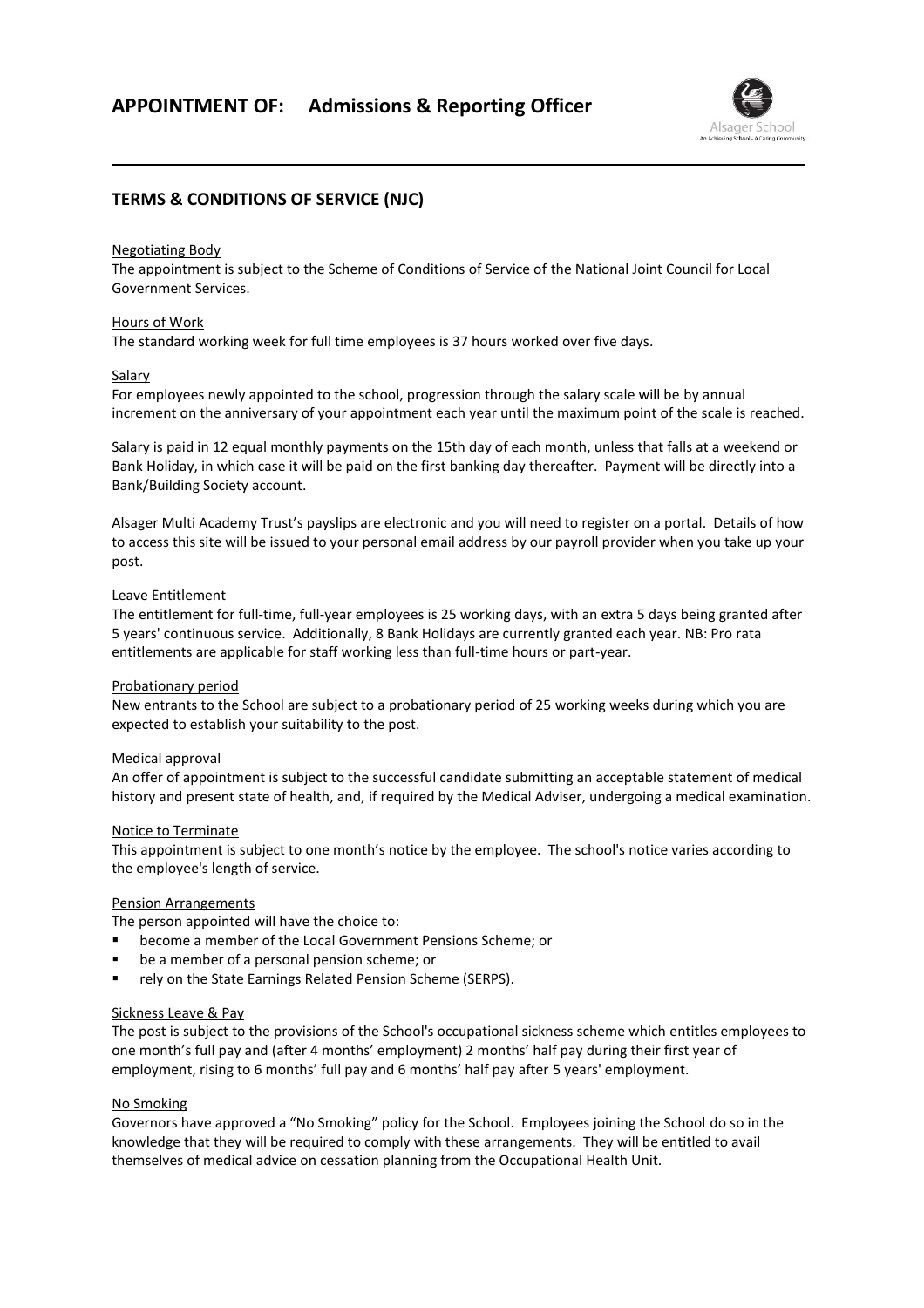

# **TERMS & CONDITIONS OF SERVICE (NJC)**

#### Negotiating Body

The appointment is subject to the Scheme of Conditions of Service of the National Joint Council for Local Government Services.

#### Hours of Work

The standard working week for full time employees is 37 hours worked over five days.

#### Salary

For employees newly appointed to the school, progression through the salary scale will be by annual increment on the anniversary of your appointment each year until the maximum point of the scale is reached.

Salary is paid in 12 equal monthly payments on the 15th day of each month, unless that falls at a weekend or Bank Holiday, in which case it will be paid on the first banking day thereafter. Payment will be directly into a Bank/Building Society account.

Alsager Multi Academy Trust's payslips are electronic and you will need to register on a portal. Details of how to access this site will be issued to your personal email address by our payroll provider when you take up your post.

#### Leave Entitlement

The entitlement for full-time, full-year employees is 25 working days, with an extra 5 days being granted after 5 years' continuous service. Additionally, 8 Bank Holidays are currently granted each year. NB: Pro rata entitlements are applicable for staff working less than full-time hours or part-year.

### Probationary period

New entrants to the School are subject to a probationary period of 25 working weeks during which you are expected to establish your suitability to the post.

### Medical approval

An offer of appointment is subject to the successful candidate submitting an acceptable statement of medical history and present state of health, and, if required by the Medical Adviser, undergoing a medical examination.

#### Notice to Terminate

This appointment is subject to one month's notice by the employee. The school's notice varies according to the employee's length of service.

### Pension Arrangements

The person appointed will have the choice to:

- become a member of the Local Government Pensions Scheme; or
- be a member of a personal pension scheme; or
- rely on the State Earnings Related Pension Scheme (SERPS).

#### Sickness Leave & Pay

The post is subject to the provisions of the School's occupational sickness scheme which entitles employees to one month's full pay and (after 4 months' employment) 2 months' half pay during their first year of employment, rising to 6 months' full pay and 6 months' half pay after 5 years' employment.

#### No Smoking

Governors have approved a "No Smoking" policy for the School. Employees joining the School do so in the knowledge that they will be required to comply with these arrangements. They will be entitled to avail themselves of medical advice on cessation planning from the Occupational Health Unit.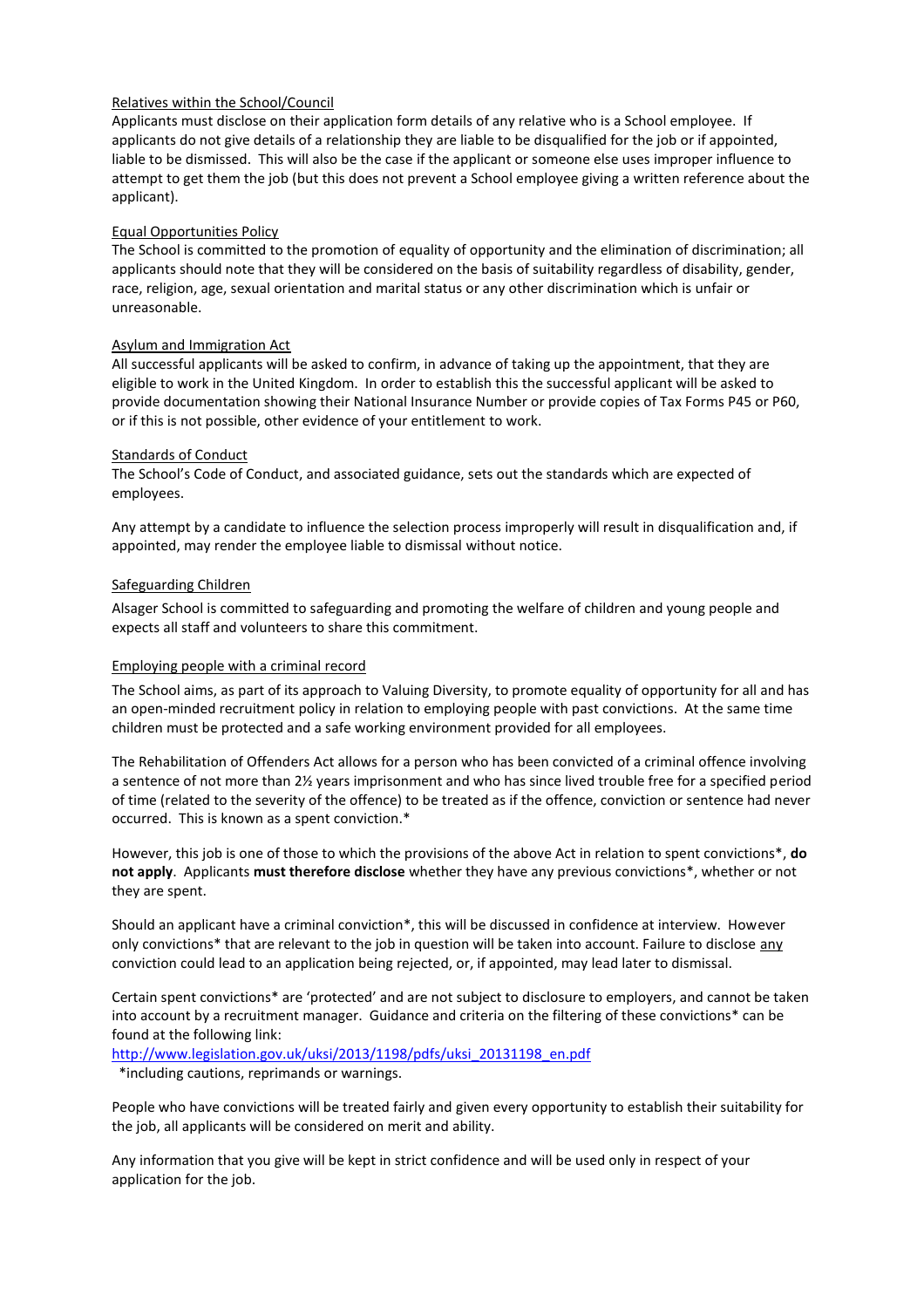### Relatives within the School/Council

Applicants must disclose on their application form details of any relative who is a School employee. If applicants do not give details of a relationship they are liable to be disqualified for the job or if appointed, liable to be dismissed. This will also be the case if the applicant or someone else uses improper influence to attempt to get them the job (but this does not prevent a School employee giving a written reference about the applicant).

### Equal Opportunities Policy

The School is committed to the promotion of equality of opportunity and the elimination of discrimination; all applicants should note that they will be considered on the basis of suitability regardless of disability, gender, race, religion, age, sexual orientation and marital status or any other discrimination which is unfair or unreasonable.

### Asylum and Immigration Act

All successful applicants will be asked to confirm, in advance of taking up the appointment, that they are eligible to work in the United Kingdom. In order to establish this the successful applicant will be asked to provide documentation showing their National Insurance Number or provide copies of Tax Forms P45 or P60, or if this is not possible, other evidence of your entitlement to work.

### Standards of Conduct

The School's Code of Conduct, and associated guidance, sets out the standards which are expected of employees.

Any attempt by a candidate to influence the selection process improperly will result in disqualification and, if appointed, may render the employee liable to dismissal without notice.

## Safeguarding Children

Alsager School is committed to safeguarding and promoting the welfare of children and young people and expects all staff and volunteers to share this commitment.

### Employing people with a criminal record

The School aims, as part of its approach to Valuing Diversity, to promote equality of opportunity for all and has an open-minded recruitment policy in relation to employing people with past convictions. At the same time children must be protected and a safe working environment provided for all employees.

The Rehabilitation of Offenders Act allows for a person who has been convicted of a criminal offence involving a sentence of not more than 2½ years imprisonment and who has since lived trouble free for a specified period of time (related to the severity of the offence) to be treated as if the offence, conviction or sentence had never occurred. This is known as a spent conviction.\*

However, this job is one of those to which the provisions of the above Act in relation to spent convictions\*, **do not apply**. Applicants **must therefore disclose** whether they have any previous convictions\*, whether or not they are spent.

Should an applicant have a criminal conviction\*, this will be discussed in confidence at interview. However only convictions\* that are relevant to the job in question will be taken into account. Failure to disclose any conviction could lead to an application being rejected, or, if appointed, may lead later to dismissal.

Certain spent convictions\* are 'protected' and are not subject to disclosure to employers, and cannot be taken into account by a recruitment manager. Guidance and criteria on the filtering of these convictions\* can be found at the following link:

[http://www.legislation.gov.uk/uksi/2013/1198/pdfs/uksi\\_20131198\\_en.pdf](http://www.legislation.gov.uk/uksi/2013/1198/pdfs/uksi_20131198_en.pdf)

\*including cautions, reprimands or warnings.

People who have convictions will be treated fairly and given every opportunity to establish their suitability for the job, all applicants will be considered on merit and ability.

Any information that you give will be kept in strict confidence and will be used only in respect of your application for the job.